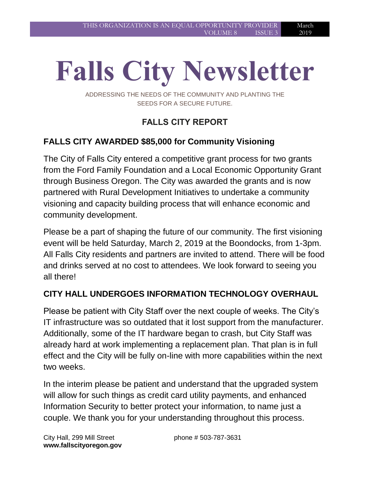2019

# **Falls City Newsletter**

ADDRESSING THE NEEDS OF THE COMMUNITY AND PLANTING THE SEEDS FOR A SECURE FUTURE.

# **FALLS CITY REPORT**

# **FALLS CITY AWARDED \$85,000 for Community Visioning**

The City of Falls City entered a competitive grant process for two grants from the Ford Family Foundation and a Local Economic Opportunity Grant through Business Oregon. The City was awarded the grants and is now partnered with Rural Development Initiatives to undertake a community visioning and capacity building process that will enhance economic and community development.

Please be a part of shaping the future of our community. The first visioning event will be held Saturday, March 2, 2019 at the Boondocks, from 1-3pm. All Falls City residents and partners are invited to attend. There will be food and drinks served at no cost to attendees. We look forward to seeing you all there!

# **CITY HALL UNDERGOES INFORMATION TECHNOLOGY OVERHAUL**

Please be patient with City Staff over the next couple of weeks. The City's IT infrastructure was so outdated that it lost support from the manufacturer. Additionally, some of the IT hardware began to crash, but City Staff was already hard at work implementing a replacement plan. That plan is in full effect and the City will be fully on-line with more capabilities within the next two weeks.

In the interim please be patient and understand that the upgraded system will allow for such things as credit card utility payments, and enhanced Information Security to better protect your information, to name just a couple. We thank you for your understanding throughout this process.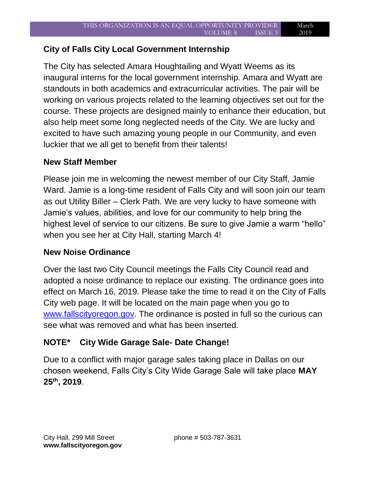## **City of Falls City Local Government Internship**

The City has selected Amara Houghtailing and Wyatt Weems as its inaugural interns for the local government internship. Amara and Wyatt are standouts in both academics and extracurricular activities. The pair will be working on various projects related to the learning objectives set out for the course. These projects are designed mainly to enhance their education, but also help meet some long neglected needs of the City. We are lucky and excited to have such amazing young people in our Community, and even luckier that we all get to benefit from their talents!

### **New Staff Member**

Please join me in welcoming the newest member of our City Staff, Jamie Ward. Jamie is a long-time resident of Falls City and will soon join our team as out Utility Biller – Clerk Path. We are very lucky to have someone with Jamie's values, abilities, and love for our community to help bring the highest level of service to our citizens. Be sure to give Jamie a warm "hello" when you see her at City Hall, starting March 4!

### **New Noise Ordinance**

Over the last two City Council meetings the Falls City Council read and adopted a noise ordinance to replace our existing. The ordinance goes into effect on March 16, 2019. Please take the time to read it on the City of Falls City web page. It will be located on the main page when you go to [www.fallscityoregon.gov.](http://www.fallscityoregon.gov/) The ordinance is posted in full so the curious can see what was removed and what has been inserted.

## **NOTE\* City Wide Garage Sale- Date Change!**

Due to a conflict with major garage sales taking place in Dallas on our chosen weekend, Falls City's City Wide Garage Sale will take place **MAY 25th, 2019**.